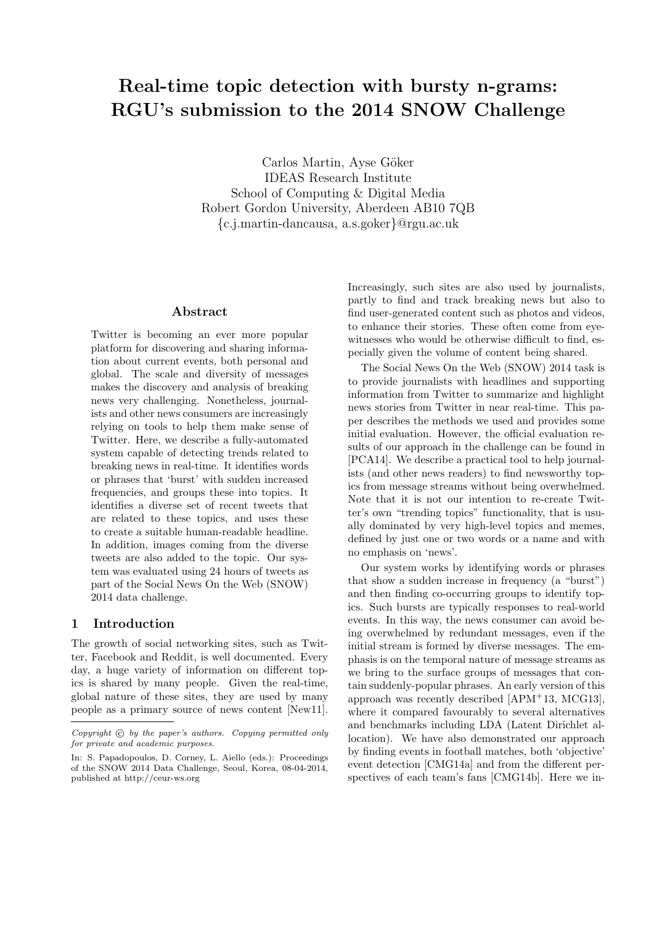# Real-time topic detection with bursty n-grams: RGU's submission to the 2014 SNOW Challenge

Carlos Martin, Ayse Göker IDEAS Research Institute School of Computing & Digital Media Robert Gordon University, Aberdeen AB10 7QB {c.j.martin-dancausa, a.s.goker}@rgu.ac.uk

## Abstract

Twitter is becoming an ever more popular platform for discovering and sharing information about current events, both personal and global. The scale and diversity of messages makes the discovery and analysis of breaking news very challenging. Nonetheless, journalists and other news consumers are increasingly relying on tools to help them make sense of Twitter. Here, we describe a fully-automated system capable of detecting trends related to breaking news in real-time. It identifies words or phrases that 'burst' with sudden increased frequencies, and groups these into topics. It identifies a diverse set of recent tweets that are related to these topics, and uses these to create a suitable human-readable headline. In addition, images coming from the diverse tweets are also added to the topic. Our system was evaluated using 24 hours of tweets as part of the Social News On the Web (SNOW) 2014 data challenge.

## 1 Introduction

The growth of social networking sites, such as Twitter, Facebook and Reddit, is well documented. Every day, a huge variety of information on different topics is shared by many people. Given the real-time, global nature of these sites, they are used by many people as a primary source of news content [New11]. Increasingly, such sites are also used by journalists, partly to find and track breaking news but also to find user-generated content such as photos and videos, to enhance their stories. These often come from eyewitnesses who would be otherwise difficult to find, especially given the volume of content being shared.

The Social News On the Web (SNOW) 2014 task is to provide journalists with headlines and supporting information from Twitter to summarize and highlight news stories from Twitter in near real-time. This paper describes the methods we used and provides some initial evaluation. However, the official evaluation results of our approach in the challenge can be found in [PCA14]. We describe a practical tool to help journalists (and other news readers) to find newsworthy topics from message streams without being overwhelmed. Note that it is not our intention to re-create Twitter's own "trending topics" functionality, that is usually dominated by very high-level topics and memes, defined by just one or two words or a name and with no emphasis on 'news'.

Our system works by identifying words or phrases that show a sudden increase in frequency (a "burst") and then finding co-occurring groups to identify topics. Such bursts are typically responses to real-world events. In this way, the news consumer can avoid being overwhelmed by redundant messages, even if the initial stream is formed by diverse messages. The emphasis is on the temporal nature of message streams as we bring to the surface groups of messages that contain suddenly-popular phrases. An early version of this approach was recently described [APM<sup>+</sup>13, MCG13], where it compared favourably to several alternatives and benchmarks including LDA (Latent Dirichlet allocation). We have also demonstrated our approach by finding events in football matches, both 'objective' event detection [CMG14a] and from the different perspectives of each team's fans [CMG14b]. Here we in-

 $Copyright$   $©$  by the paper's authors.  $Copyright$  permitted only for private and academic purposes.

In: S. Papadopoulos, D. Corney, L. Aiello (eds.): Proceedings of the SNOW 2014 Data Challenge, Seoul, Korea, 08-04-2014, published at http://ceur-ws.org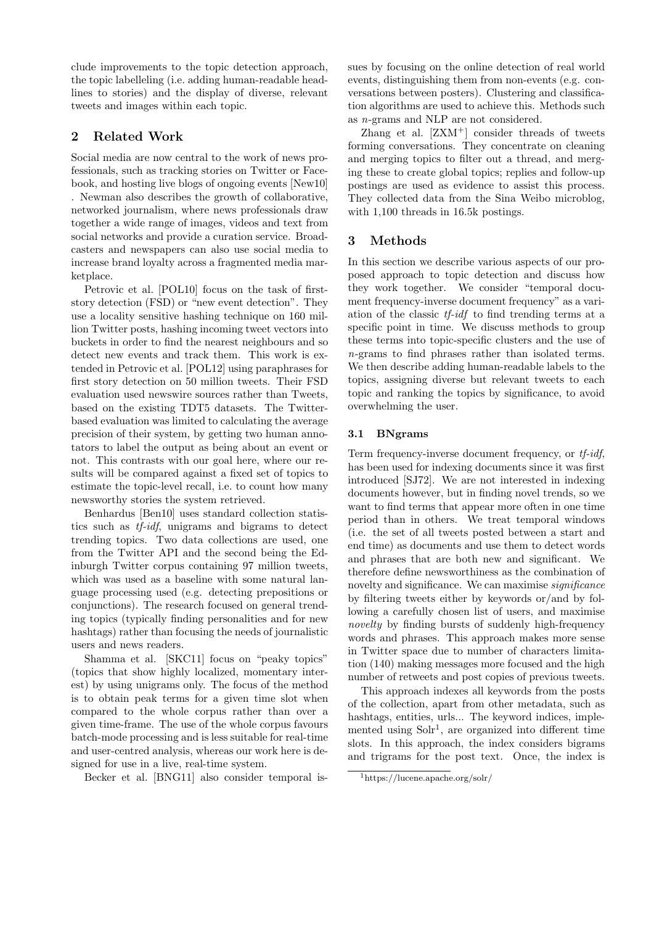clude improvements to the topic detection approach, the topic labelleling (i.e. adding human-readable headlines to stories) and the display of diverse, relevant tweets and images within each topic.

# 2 Related Work

Social media are now central to the work of news professionals, such as tracking stories on Twitter or Facebook, and hosting live blogs of ongoing events [New10] . Newman also describes the growth of collaborative, networked journalism, where news professionals draw together a wide range of images, videos and text from social networks and provide a curation service. Broadcasters and newspapers can also use social media to increase brand loyalty across a fragmented media marketplace.

Petrovic et al. [POL10] focus on the task of firststory detection (FSD) or "new event detection". They use a locality sensitive hashing technique on 160 million Twitter posts, hashing incoming tweet vectors into buckets in order to find the nearest neighbours and so detect new events and track them. This work is extended in Petrovic et al. [POL12] using paraphrases for first story detection on 50 million tweets. Their FSD evaluation used newswire sources rather than Tweets, based on the existing TDT5 datasets. The Twitterbased evaluation was limited to calculating the average precision of their system, by getting two human annotators to label the output as being about an event or not. This contrasts with our goal here, where our results will be compared against a fixed set of topics to estimate the topic-level recall, i.e. to count how many newsworthy stories the system retrieved.

Benhardus [Ben10] uses standard collection statistics such as tf-idf, unigrams and bigrams to detect trending topics. Two data collections are used, one from the Twitter API and the second being the Edinburgh Twitter corpus containing 97 million tweets, which was used as a baseline with some natural language processing used (e.g. detecting prepositions or conjunctions). The research focused on general trending topics (typically finding personalities and for new hashtags) rather than focusing the needs of journalistic users and news readers.

Shamma et al. [SKC11] focus on "peaky topics" (topics that show highly localized, momentary interest) by using unigrams only. The focus of the method is to obtain peak terms for a given time slot when compared to the whole corpus rather than over a given time-frame. The use of the whole corpus favours batch-mode processing and is less suitable for real-time and user-centred analysis, whereas our work here is designed for use in a live, real-time system.

Becker et al. [BNG11] also consider temporal is-

sues by focusing on the online detection of real world events, distinguishing them from non-events (e.g. conversations between posters). Clustering and classification algorithms are used to achieve this. Methods such as n-grams and NLP are not considered.

Zhang et al. [ZXM+] consider threads of tweets forming conversations. They concentrate on cleaning and merging topics to filter out a thread, and merging these to create global topics; replies and follow-up postings are used as evidence to assist this process. They collected data from the Sina Weibo microblog, with 1,100 threads in 16.5k postings.

# 3 Methods

In this section we describe various aspects of our proposed approach to topic detection and discuss how they work together. We consider "temporal document frequency-inverse document frequency" as a variation of the classic tf-idf to find trending terms at a specific point in time. We discuss methods to group these terms into topic-specific clusters and the use of n-grams to find phrases rather than isolated terms. We then describe adding human-readable labels to the topics, assigning diverse but relevant tweets to each topic and ranking the topics by significance, to avoid overwhelming the user.

## 3.1 BNgrams

Term frequency-inverse document frequency, or *tf-idf*, has been used for indexing documents since it was first introduced [SJ72]. We are not interested in indexing documents however, but in finding novel trends, so we want to find terms that appear more often in one time period than in others. We treat temporal windows (i.e. the set of all tweets posted between a start and end time) as documents and use them to detect words and phrases that are both new and significant. We therefore define newsworthiness as the combination of novelty and significance. We can maximise significance by filtering tweets either by keywords or/and by following a carefully chosen list of users, and maximise novelty by finding bursts of suddenly high-frequency words and phrases. This approach makes more sense in Twitter space due to number of characters limitation (140) making messages more focused and the high number of retweets and post copies of previous tweets.

This approach indexes all keywords from the posts of the collection, apart from other metadata, such as hashtags, entities, urls... The keyword indices, implemented using  $S\ddot{\text{o}}$  are organized into different time slots. In this approach, the index considers bigrams and trigrams for the post text. Once, the index is

<sup>1</sup>https://lucene.apache.org/solr/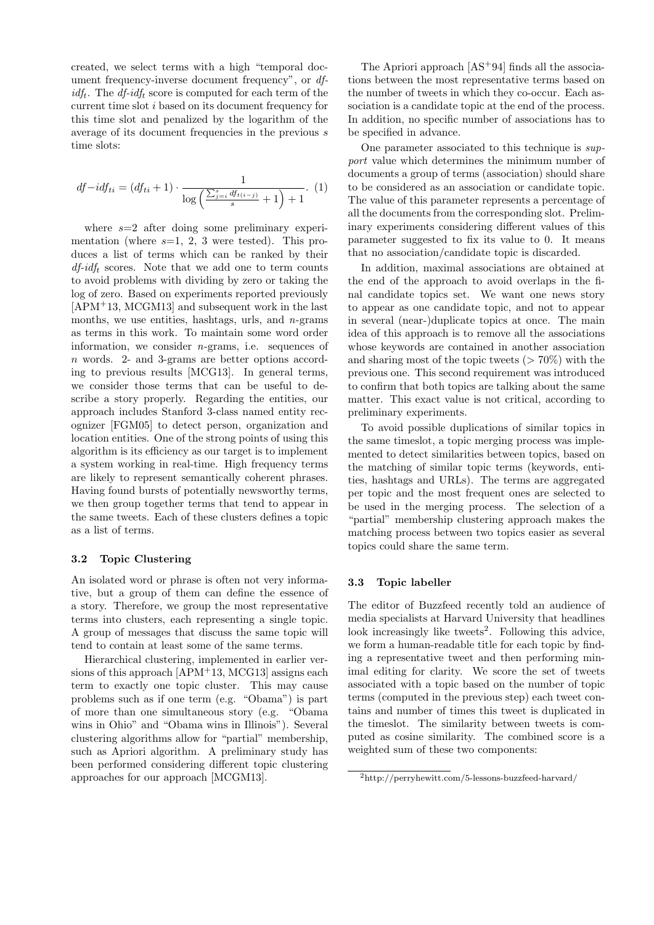created, we select terms with a high "temporal document frequency-inverse document frequency", or df $idf_t$ . The *df-idf<sub>t</sub>* score is computed for each term of the current time slot i based on its document frequency for this time slot and penalized by the logarithm of the average of its document frequencies in the previous s time slots:

$$
df - idf_{ti} = (df_{ti} + 1) \cdot \frac{1}{\log\left(\frac{\sum_{j=i}^{s} df_{t(i-j)}}{s} + 1\right) + 1}.
$$
 (1)

where  $s=2$  after doing some preliminary experimentation (where  $s=1, 2, 3$  were tested). This produces a list of terms which can be ranked by their  $df-idf_t$  scores. Note that we add one to term counts to avoid problems with dividing by zero or taking the log of zero. Based on experiments reported previously [APM+13, MCGM13] and subsequent work in the last months, we use entities, hashtags, urls, and  $n$ -grams as terms in this work. To maintain some word order information, we consider n-grams, i.e. sequences of n words. 2- and 3-grams are better options according to previous results [MCG13]. In general terms, we consider those terms that can be useful to describe a story properly. Regarding the entities, our approach includes Stanford 3-class named entity recognizer [FGM05] to detect person, organization and location entities. One of the strong points of using this algorithm is its efficiency as our target is to implement a system working in real-time. High frequency terms are likely to represent semantically coherent phrases. Having found bursts of potentially newsworthy terms, we then group together terms that tend to appear in the same tweets. Each of these clusters defines a topic as a list of terms.

## 3.2 Topic Clustering

An isolated word or phrase is often not very informative, but a group of them can define the essence of a story. Therefore, we group the most representative terms into clusters, each representing a single topic. A group of messages that discuss the same topic will tend to contain at least some of the same terms.

Hierarchical clustering, implemented in earlier versions of this approach [APM<sup>+</sup>13, MCG13] assigns each term to exactly one topic cluster. This may cause problems such as if one term (e.g. "Obama") is part of more than one simultaneous story (e.g. "Obama wins in Ohio" and "Obama wins in Illinois"). Several clustering algorithms allow for "partial" membership, such as Apriori algorithm. A preliminary study has been performed considering different topic clustering approaches for our approach [MCGM13].

The Apriori approach  $[AS^+94]$  finds all the associations between the most representative terms based on the number of tweets in which they co-occur. Each association is a candidate topic at the end of the process. In addition, no specific number of associations has to be specified in advance.

One parameter associated to this technique is support value which determines the minimum number of documents a group of terms (association) should share to be considered as an association or candidate topic. The value of this parameter represents a percentage of all the documents from the corresponding slot. Preliminary experiments considering different values of this parameter suggested to fix its value to 0. It means that no association/candidate topic is discarded.

In addition, maximal associations are obtained at the end of the approach to avoid overlaps in the final candidate topics set. We want one news story to appear as one candidate topic, and not to appear in several (near-)duplicate topics at once. The main idea of this approach is to remove all the associations whose keywords are contained in another association and sharing most of the topic tweets  $(> 70\%)$  with the previous one. This second requirement was introduced to confirm that both topics are talking about the same matter. This exact value is not critical, according to preliminary experiments.

To avoid possible duplications of similar topics in the same timeslot, a topic merging process was implemented to detect similarities between topics, based on the matching of similar topic terms (keywords, entities, hashtags and URLs). The terms are aggregated per topic and the most frequent ones are selected to be used in the merging process. The selection of a "partial" membership clustering approach makes the matching process between two topics easier as several topics could share the same term.

#### 3.3 Topic labeller

The editor of Buzzfeed recently told an audience of media specialists at Harvard University that headlines look increasingly like tweets<sup>2</sup>. Following this advice, we form a human-readable title for each topic by finding a representative tweet and then performing minimal editing for clarity. We score the set of tweets associated with a topic based on the number of topic terms (computed in the previous step) each tweet contains and number of times this tweet is duplicated in the timeslot. The similarity between tweets is computed as cosine similarity. The combined score is a weighted sum of these two components:

<sup>2</sup>http://perryhewitt.com/5-lessons-buzzfeed-harvard/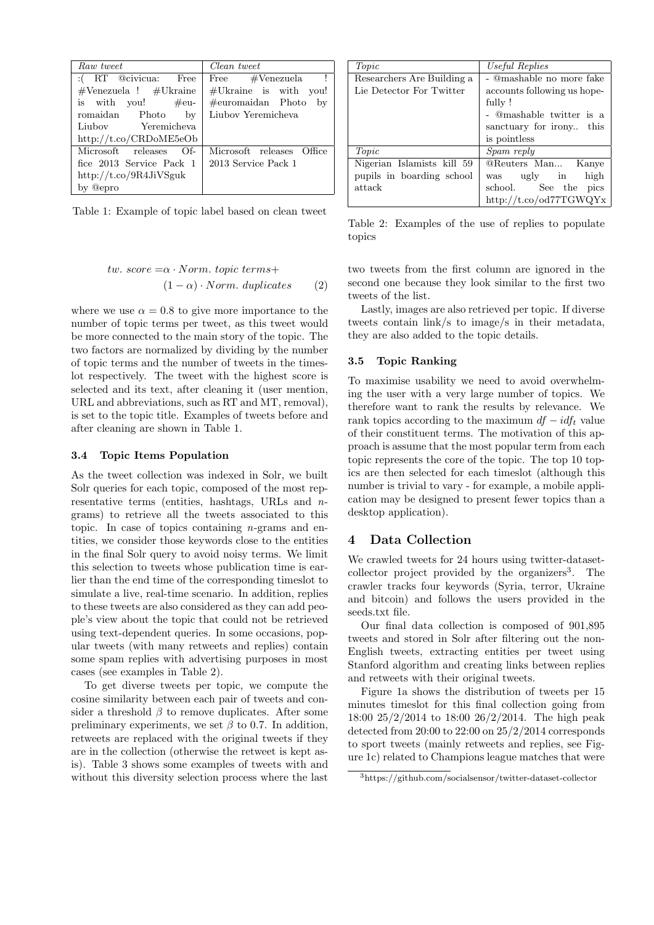| Raw tweet                                      | Clean tweet                 |
|------------------------------------------------|-----------------------------|
| :(RT @civicua: Free                            | Free $\#$ Venezuela         |
| $\#$ Venezuela ! $\#$ Ukraine                  | $\#$ Ukraine is with you!   |
| is with you! $\#$ eu-                          | $\#$ euromaidan Photo<br>by |
| romaidan Photo<br>$\mathbf{b}$                 | Liubov Yeremicheva          |
| Liubov Yeremicheva                             |                             |
| http://t.co/CRDoME5eOb                         |                             |
| Microsoft releases<br>$\bigcirc$ of $\bigcirc$ | Microsoft releases Office   |
| fice 2013 Service Pack 1                       | 2013 Service Pack 1         |
| http://t.co/9R4JiVSguk                         |                             |
| by @epro                                       |                             |

Table 1: Example of topic label based on clean tweet

| tw. score $=\alpha \cdot Norm.$ topic terms+ |     | two |
|----------------------------------------------|-----|-----|
| $(1 - \alpha) \cdot Norm. \ duplicates$      | (2) | sec |

where we use  $\alpha = 0.8$  to give more importance to the number of topic terms per tweet, as this tweet would be more connected to the main story of the topic. The two factors are normalized by dividing by the number of topic terms and the number of tweets in the timeslot respectively. The tweet with the highest score is selected and its text, after cleaning it (user mention, URL and abbreviations, such as RT and MT, removal), is set to the topic title. Examples of tweets before and after cleaning are shown in Table 1.

#### 3.4 Topic Items Population

As the tweet collection was indexed in Solr, we built Solr queries for each topic, composed of the most representative terms (entities, hashtags, URLs and ngrams) to retrieve all the tweets associated to this topic. In case of topics containing  $n$ -grams and entities, we consider those keywords close to the entities in the final Solr query to avoid noisy terms. We limit this selection to tweets whose publication time is earlier than the end time of the corresponding timeslot to simulate a live, real-time scenario. In addition, replies to these tweets are also considered as they can add people's view about the topic that could not be retrieved using text-dependent queries. In some occasions, popular tweets (with many retweets and replies) contain some spam replies with advertising purposes in most cases (see examples in Table 2).

To get diverse tweets per topic, we compute the cosine similarity between each pair of tweets and consider a threshold  $\beta$  to remove duplicates. After some preliminary experiments, we set  $\beta$  to 0.7. In addition, retweets are replaced with the original tweets if they are in the collection (otherwise the retweet is kept asis). Table 3 shows some examples of tweets with and without this diversity selection process where the last

| Topic                      | Useful Replies                    |
|----------------------------|-----------------------------------|
| Researchers Are Building a | - @mashable no more fake          |
| Lie Detector For Twitter   | accounts following us hope-       |
|                            | fully!                            |
|                            | - @mashable twitter is a          |
|                            | sanctuary for irony this          |
|                            | is pointless                      |
| Topic                      | Spam reply                        |
| Nigerian Islamists kill 59 | <b>@Reuters Man</b> Kanye         |
| pupils in boarding school  | high<br>$\mathrm{ugly}$ in<br>was |
| attack                     | school. See the<br>pics           |
|                            | http://t.co/od77TGWQYx            |

Table 2: Examples of the use of replies to populate topics

o tweets from the first column are ignored in the second one because they look similar to the first two tweets of the list.

Lastly, images are also retrieved per topic. If diverse tweets contain link/s to image/s in their metadata, they are also added to the topic details.

#### 3.5 Topic Ranking

To maximise usability we need to avoid overwhelming the user with a very large number of topics. We therefore want to rank the results by relevance. We rank topics according to the maximum  $df - idf_t$  value of their constituent terms. The motivation of this approach is assume that the most popular term from each topic represents the core of the topic. The top 10 topics are then selected for each timeslot (although this number is trivial to vary - for example, a mobile application may be designed to present fewer topics than a desktop application).

## 4 Data Collection

We crawled tweets for 24 hours using twitter-datasetcollector project provided by the organizers<sup>3</sup>. The crawler tracks four keywords (Syria, terror, Ukraine and bitcoin) and follows the users provided in the seeds.txt file.

Our final data collection is composed of 901,895 tweets and stored in Solr after filtering out the non-English tweets, extracting entities per tweet using Stanford algorithm and creating links between replies and retweets with their original tweets.

Figure 1a shows the distribution of tweets per 15 minutes timeslot for this final collection going from 18:00 25/2/2014 to 18:00 26/2/2014. The high peak detected from 20:00 to 22:00 on 25/2/2014 corresponds to sport tweets (mainly retweets and replies, see Figure 1c) related to Champions league matches that were

<sup>3</sup>https://github.com/socialsensor/twitter-dataset-collector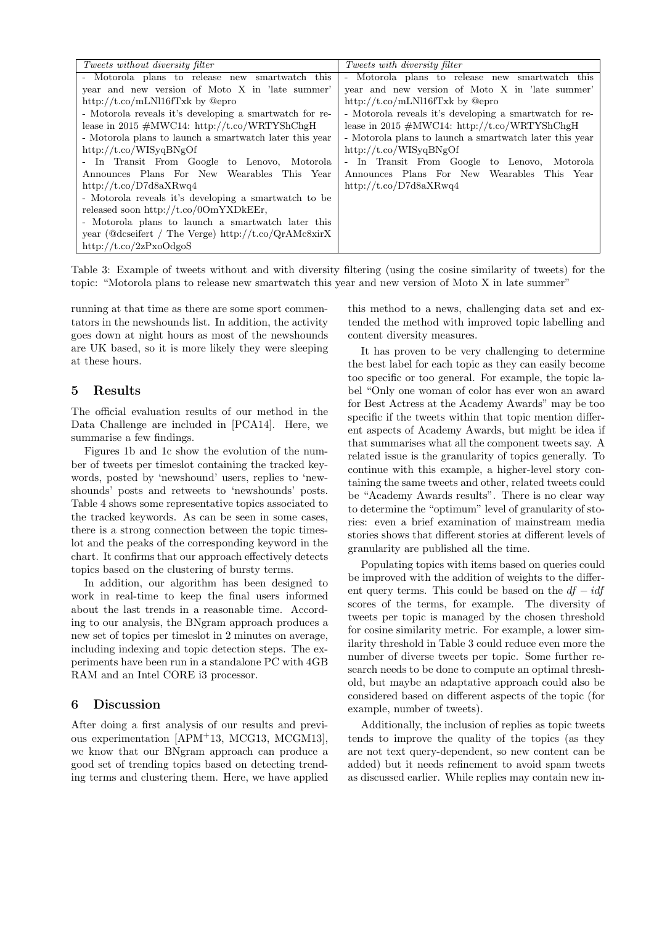| <i>Tweets without diversity filter</i>                  | <i>Tweets with diversity filter</i>                     |
|---------------------------------------------------------|---------------------------------------------------------|
| - Motorola plans to release new smartwatch this         | - Motorola plans to release new smartwatch this         |
| year and new version of Moto X in 'late summer'         | year and new version of Moto X in 'late summer'         |
| http://t.co/mLNl16fTxk by @epro                         | http://t.co/mLNl16fTxk by @epro                         |
| - Motorola reveals it's developing a smartwatch for re- | - Motorola reveals it's developing a smartwatch for re- |
| lease in 2015 $\#MWC14$ : http://t.co/WRTYShChgH        | lease in 2015 $\#MWC14$ : http://t.co/WRTYShChgH        |
| - Motorola plans to launch a smartwatch later this year | - Motorola plans to launch a smartwatch later this year |
| http://t.co/WISyqBNgOf                                  | http://t.co/WISyqBNgOf                                  |
| - In Transit From Google to Lenovo, Motorola            | - In Transit From Google to Lenovo, Motorola            |
| Announces Plans For New Wearables This Year             | Announces Plans For New Wearables This Year             |
| http://t.co/D7d8a $XRwq4$                               | http://t.co/D7d8aXRwq4                                  |
| - Motorola reveals it's developing a smartwatch to be   |                                                         |
| released soon http://t.co/00mYXDkEEr,                   |                                                         |
| - Motorola plans to launch a smartwatch later this      |                                                         |
| year (@dcseifert / The Verge) http://t.co/QrAMc8xirX    |                                                         |
| http://t.co/2zPxoOdgoS                                  |                                                         |

Table 3: Example of tweets without and with diversity filtering (using the cosine similarity of tweets) for the topic: "Motorola plans to release new smartwatch this year and new version of Moto X in late summer"

running at that time as there are some sport commentators in the newshounds list. In addition, the activity goes down at night hours as most of the newshounds are UK based, so it is more likely they were sleeping at these hours.

### 5 Results

The official evaluation results of our method in the Data Challenge are included in [PCA14]. Here, we summarise a few findings.

Figures 1b and 1c show the evolution of the number of tweets per timeslot containing the tracked keywords, posted by 'newshound' users, replies to 'newshounds' posts and retweets to 'newshounds' posts. Table 4 shows some representative topics associated to the tracked keywords. As can be seen in some cases, there is a strong connection between the topic timeslot and the peaks of the corresponding keyword in the chart. It confirms that our approach effectively detects topics based on the clustering of bursty terms.

In addition, our algorithm has been designed to work in real-time to keep the final users informed about the last trends in a reasonable time. According to our analysis, the BNgram approach produces a new set of topics per timeslot in 2 minutes on average, including indexing and topic detection steps. The experiments have been run in a standalone PC with 4GB RAM and an Intel CORE i3 processor.

## 6 Discussion

After doing a first analysis of our results and previous experimentation [APM<sup>+</sup>13, MCG13, MCGM13], we know that our BNgram approach can produce a good set of trending topics based on detecting trending terms and clustering them. Here, we have applied

this method to a news, challenging data set and extended the method with improved topic labelling and content diversity measures.

It has proven to be very challenging to determine the best label for each topic as they can easily become too specific or too general. For example, the topic label "Only one woman of color has ever won an award for Best Actress at the Academy Awards" may be too specific if the tweets within that topic mention different aspects of Academy Awards, but might be idea if that summarises what all the component tweets say. A related issue is the granularity of topics generally. To continue with this example, a higher-level story containing the same tweets and other, related tweets could be "Academy Awards results". There is no clear way to determine the "optimum" level of granularity of stories: even a brief examination of mainstream media stories shows that different stories at different levels of granularity are published all the time.

Populating topics with items based on queries could be improved with the addition of weights to the different query terms. This could be based on the  $df - idf$ scores of the terms, for example. The diversity of tweets per topic is managed by the chosen threshold for cosine similarity metric. For example, a lower similarity threshold in Table 3 could reduce even more the number of diverse tweets per topic. Some further research needs to be done to compute an optimal threshold, but maybe an adaptative approach could also be considered based on different aspects of the topic (for example, number of tweets).

Additionally, the inclusion of replies as topic tweets tends to improve the quality of the topics (as they are not text query-dependent, so new content can be added) but it needs refinement to avoid spam tweets as discussed earlier. While replies may contain new in-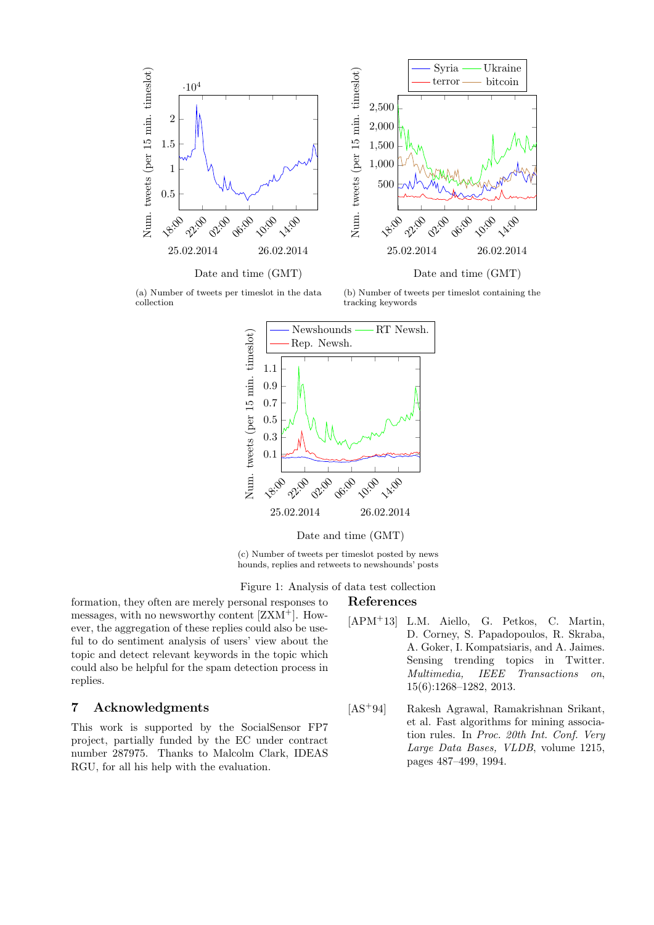

(a) Number of tweets per timeslot in the data collection

(b) Number of tweets per timeslot containing the tracking keywords



Date and time (GMT)

(c) Number of tweets per timeslot posted by news hounds, replies and retweets to newshounds' posts

Figure 1: Analysis of data test collection

## References

formation, they often are merely personal responses to messages, with no newsworthy content [ZXM+]. However, the aggregation of these replies could also be useful to do sentiment analysis of users' view about the topic and detect relevant keywords in the topic which could also be helpful for the spam detection process in replies.

## 7 Acknowledgments

This work is supported by the SocialSensor FP7 project, partially funded by the EC under contract number 287975. Thanks to Malcolm Clark, IDEAS RGU, for all his help with the evaluation.

- [APM+13] L.M. Aiello, G. Petkos, C. Martin, D. Corney, S. Papadopoulos, R. Skraba, A. Goker, I. Kompatsiaris, and A. Jaimes. Sensing trending topics in Twitter. Multimedia, IEEE Transactions on, 15(6):1268–1282, 2013.
- [AS<sup>+</sup>94] Rakesh Agrawal, Ramakrishnan Srikant, et al. Fast algorithms for mining association rules. In Proc. 20th Int. Conf. Very Large Data Bases, VLDB, volume 1215, pages 487–499, 1994.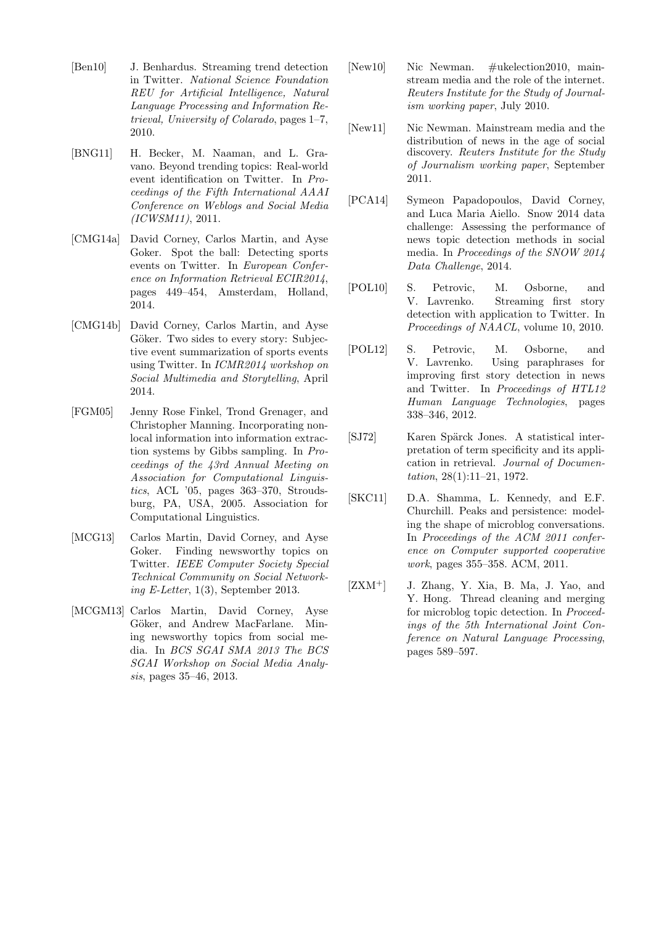- [Ben10] J. Benhardus. Streaming trend detection in Twitter. National Science Foundation REU for Artificial Intelligence, Natural Language Processing and Information Retrieval, University of Colarado, pages 1–7, 2010.
- [BNG11] H. Becker, M. Naaman, and L. Gravano. Beyond trending topics: Real-world event identification on Twitter. In Proceedings of the Fifth International AAAI Conference on Weblogs and Social Media (ICWSM11), 2011.
- [CMG14a] David Corney, Carlos Martin, and Ayse Goker. Spot the ball: Detecting sports events on Twitter. In European Conference on Information Retrieval ECIR2014, pages 449–454, Amsterdam, Holland, 2014.
- [CMG14b] David Corney, Carlos Martin, and Ayse Göker. Two sides to every story: Subjective event summarization of sports events using Twitter. In ICMR2014 workshop on Social Multimedia and Storytelling, April 2014.
- [FGM05] Jenny Rose Finkel, Trond Grenager, and Christopher Manning. Incorporating nonlocal information into information extraction systems by Gibbs sampling. In Proceedings of the 43rd Annual Meeting on Association for Computational Linguistics, ACL '05, pages 363–370, Stroudsburg, PA, USA, 2005. Association for Computational Linguistics.
- [MCG13] Carlos Martin, David Corney, and Ayse Goker. Finding newsworthy topics on Twitter. IEEE Computer Society Special Technical Community on Social Networking E-Letter, 1(3), September 2013.
- [MCGM13] Carlos Martin, David Corney, Ayse Göker, and Andrew MacFarlane. Mining newsworthy topics from social media. In BCS SGAI SMA 2013 The BCS SGAI Workshop on Social Media Analysis, pages 35–46, 2013.
- [New10] Nic Newman. #ukelection2010, mainstream media and the role of the internet. Reuters Institute for the Study of Journalism working paper, July 2010.
- [New11] Nic Newman. Mainstream media and the distribution of news in the age of social discovery. Reuters Institute for the Study of Journalism working paper, September 2011.
- [PCA14] Symeon Papadopoulos, David Corney, and Luca Maria Aiello. Snow 2014 data challenge: Assessing the performance of news topic detection methods in social media. In Proceedings of the SNOW 2014 Data Challenge, 2014.
- [POL10] S. Petrovic, M. Osborne, and V. Lavrenko. Streaming first story detection with application to Twitter. In Proceedings of NAACL, volume 10, 2010.
- [POL12] S. Petrovic, M. Osborne, and V. Lavrenko. Using paraphrases for improving first story detection in news and Twitter. In Proceedings of HTL12 Human Language Technologies, pages 338–346, 2012.
- [SJ72] Karen Spärck Jones. A statistical interpretation of term specificity and its application in retrieval. Journal of Documentation, 28(1):11–21, 1972.
- [SKC11] D.A. Shamma, L. Kennedy, and E.F. Churchill. Peaks and persistence: modeling the shape of microblog conversations. In Proceedings of the ACM 2011 conference on Computer supported cooperative work, pages 355–358. ACM, 2011.
- $[ZXM^+]$  J. Zhang, Y. Xia, B. Ma, J. Yao, and Y. Hong. Thread cleaning and merging for microblog topic detection. In Proceedings of the 5th International Joint Conference on Natural Language Processing, pages 589–597.